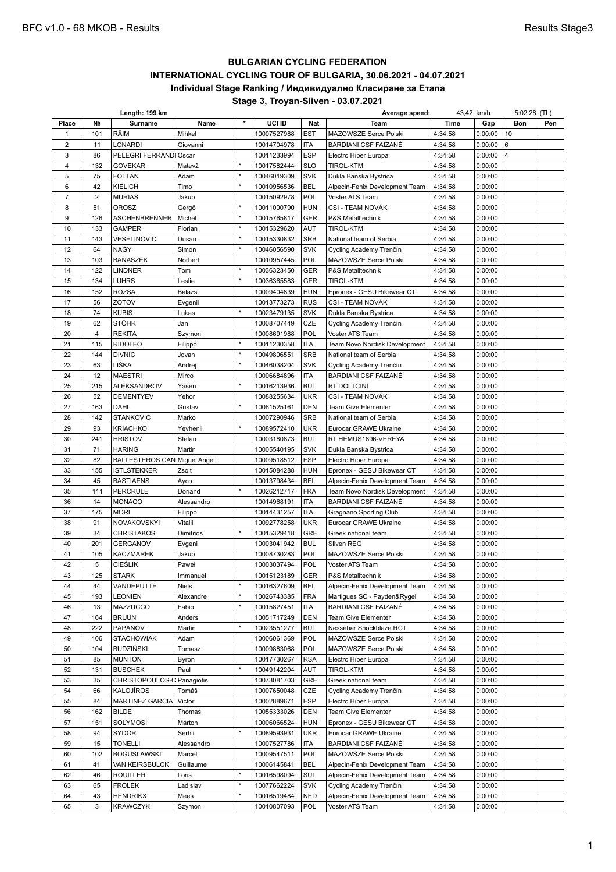# **BULGARIAN CYCLING FEDERATION INTERNATIONAL CYCLING TOUR OF BULGARIA, 30.06.2021 - 04.07.2021 Individual Stage Ranking / Индивидуално Класиране за Етапа Stage 3, Troyan-Sliven - 03.07.2021**

**Length: 199 km Average speed:** 43,42 km/h 5:02:28 (TL) **Place № Surname Name \* UCI ID Nat Team Time Gap Bon Pen** 101 RÄIM Mihkel 10007527988 EST MAZOWSZE Serce Polski 4:34:58 0:00:00 10 2 11 LONARDI Giovanni 10014704978 ITA BARDIANI CSF FAIZANÈ 4:34:58 0:00:00 3 86 PELEGRI FERRANDI Oscar 10011233994 ESP Electro Hiper Europa 4:34:58 0:00:00 4 | 132 |GOVEKAR |Matevž |\* |10017582444 |SLO |TIROL-KTM |4:34:58 |0:00:00 75 FOLTAN Adam \* 10046019309 SVK Dukla Banska Bystrica 4:34:58 0:00:00 42 KIELICH Timo \* 10010956536 BEL Alpecin-Fenix Development Team 4:34:58 0:00:00 2 MURIAS Jakub 10015092978 POL Voster ATS Team 4:34:58 0:00:00 8 | 51 |OROSZ | Gergő |\* |10011000790 |HUN |CSI - TEAM NOVÁK | 4:34:58 | 0:00:00 126 ASCHENBRENNER Michel \* 10015765817 GER P&S Metalltechnik 4:34:58 0:00:00 133 GAMPER Florian \* 10015329620 AUT TIROL-KTM 4:34:58 0:00:00 143 VESELINOVIC Dusan \* 10015330832 SRB National team of Serbia 4:34:58 0:00:00 64 NAGY Simon \* 10046056590 SVK Cycling Academy Trenčín 4:34:58 0:00:00 103 BANASZEK Norbert 10010957445 POL MAZOWSZE Serce Polski 4:34:58 0:00:00 14 | 122 | LINDNER Tom  $*$  | 10036323450 GER | P&S Metalltechnik | 4:34:58 | 0:00:00 134 LUHRS Leslie \* 10036365583 GER TIROL-KTM 4:34:58 0:00:00 152 ROZSA Balazs 10009404839 HUN Epronex - GESU Bikewear CT 4:34:58 0:00:00 56 ZOTOV Evgenii 10013773273 RUS CSI - TEAM NOVÁK 4:34:58 0:00:00 74 KUBIS Lukas \* 10023479135 SVK Dukla Banska Bystrica 4:34:58 0:00:00 62 STÖHR Jan 10008707449 CZE Cycling Academy Trenčín 4:34:58 0:00:00 20 4 REKITA Szymon | 10008691988 POL Voster ATS Team | 4:34:58 0:00:00 21 | 115 | RIDOLFO | Filippo | \* | 10011230358 | ITA | Team Novo Nordisk Development | 4:34:58 | 0:00:00 144 DIVNIC Jovan \* 10049806551 SRB National team of Serbia 4:34:58 0:00:00 63 LIŠKA Andrej \* 10046038204 SVK Cycling Academy Trenčín 4:34:58 0:00:00 24 | 12 | MAESTRI | Mirco | | 10006684896 | ITA | BARDIANI CSF FAIZANÈ | 4:34:58 | 0:00:00 25 | 215 |ALEKSANDROV |Yasen |\* |10016213936 |BUL |RT DOLTCINI |4:34:58 |0:00:00 26 | 52 |DEMENTYEV |Yehor | |10088255634 |UKR |CSI - TEAM NOVAK |4:34:58 |0:00:00 27 | 163 | DAHL | Gustav | | 10061525161 | DEN | Team Give Elementer | 4:34:58 | 0:00:00 142 STANKOVIC Marko 10007290946 SRB National team of Serbia 4:34:58 0:00:00 93 KRIACHKO Yevhenii \* 10089572410 UKR Eurocar GRAWE Ukraine 4:34:58 0:00:00 241 HRISTOV Stefan 10003180873 BUL RT HEMUS1896-VEREYA 4:34:58 0:00:00 71 HARING Martin 10005540195 SVK Dukla Banska Bystrica 4:34:58 0:00:00 32 82 BALLESTEROS CAN Miguel Angel 10009518512 ESP Electro Hiper Europa 4:34:58 0:00:00 155 ISTLSTEKKER Zsolt 10015084288 HUN Epronex - GESU Bikewear CT 4:34:58 0:00:00 45 BASTIAENS Ayco 10013798434 BEL Alpecin-Fenix Development Team 4:34:58 0:00:00 111 PERCRULE Doriand \* 10026212717 FRA Team Novo Nordisk Development 4:34:58 0:00:00 14 MONACO Alessandro 10014968191 ITA BARDIANI CSF FAIZANÈ 4:34:58 0:00:00 175 MORI Filippo 10014431257 ITA Gragnano Sporting Club 4:34:58 0:00:00 91 NOVAKOVSKYI Vitalii 10092778258 UKR Eurocar GRAWE Ukraine 4:34:58 0:00:00 34 CHRISTAKOS Dimitrios \* 10015329418 GRE Greek national team 4:34:58 0:00:00 201 GERGANOV Evgeni 10003041942 BUL Sliven REG 4:34:58 0:00:00 105 KACZMAREK Jakub 10008730283 POL MAZOWSZE Serce Polski 4:34:58 0:00:00 5 CIEŚLIK Paweł 10003037494 POL Voster ATS Team 4:34:58 0:00:00 125 STARK Immanuel 10015123189 GER P&S Metalltechnik 4:34:58 0:00:00 44 VANDEPUTTE Niels \* 10016327609 BEL Alpecin-Fenix Development Team 4:34:58 0:00:00 193 LEONIEN Alexandre \* 10026743385 FRA Martigues SC - Payden&Rygel 4:34:58 0:00:00 13 MAZZUCCO Fabio \* 10015827451 ITA BARDIANI CSF FAIZANÈ 4:34:58 0:00:00 47 164 BRUUN Anders 10051717249 DEN Team Give Elementer 4:34:58 0:00:00 222 PAPANOV Martin \* 10023551277 BUL Nessebar Shockblaze RCT 4:34:58 0:00:00 106 STACHOWIAK Adam 10006061369 POL MAZOWSZE Serce Polski 4:34:58 0:00:00 104 BUDZIŃSKI Tomasz 10009883068 POL MAZOWSZE Serce Polski 4:34:58 0:00:00 85 MUNTON Byron 10017730267 RSA Electro Hiper Europa 4:34:58 0:00:00 131 BUSCHEK Paul \* 10049142204 AUT TIROL-KTM 4:34:58 0:00:00 53 35 CHRISTOPOULOS-C Panagiotis 10073081703 GRE Greek national team 4:34:58 0:00:00 54 66 KALOJÍROS Tomáš | 10007650048 CZE Cycling Academy Trenčín | 4:34:58 0:00:00 55 84 | MARTINEZ GARCIA | Victor | | 10002889671 | ESP | Electro Hiper Europa | 4:34:58 | 0:00:00 162 BILDE Thomas 10055333026 DEN Team Give Elementer 4:34:58 0:00:00 151 SOLYMOSI Márton 10006066524 HUN Epronex - GESU Bikewear CT 4:34:58 0:00:00 94 SYDOR Serhii \* 10089593931 UKR Eurocar GRAWE Ukraine 4:34:58 0:00:00 15 TONELLI Alessandro 10007527786 ITA BARDIANI CSF FAIZANÈ 4:34:58 0:00:00 102 BOGUSŁAWSKI Marceli 10009547511 POL MAZOWSZE Serce Polski 4:34:58 0:00:00 41 VAN KEIRSBULCK Guillaume 10006145841 BEL Alpecin-Fenix Development Team 4:34:58 0:00:00 46 ROUILLER Loris \* 10016598094 SUI Alpecin-Fenix Development Team 4:34:58 0:00:00 65 FROLEK Ladislav \* 10077662224 SVK Cycling Academy Trenčín 4:34:58 0:00:00 64 43 HENDRIKX Mees \* 10016519484 NED Alpecin-Fenix Development Team 4:34:58 0:00:00 65 | 3 |KRAWCZYK |Szymon | |10010807093 |POL |Voster ATS Team | 4:34:58 |0:00:00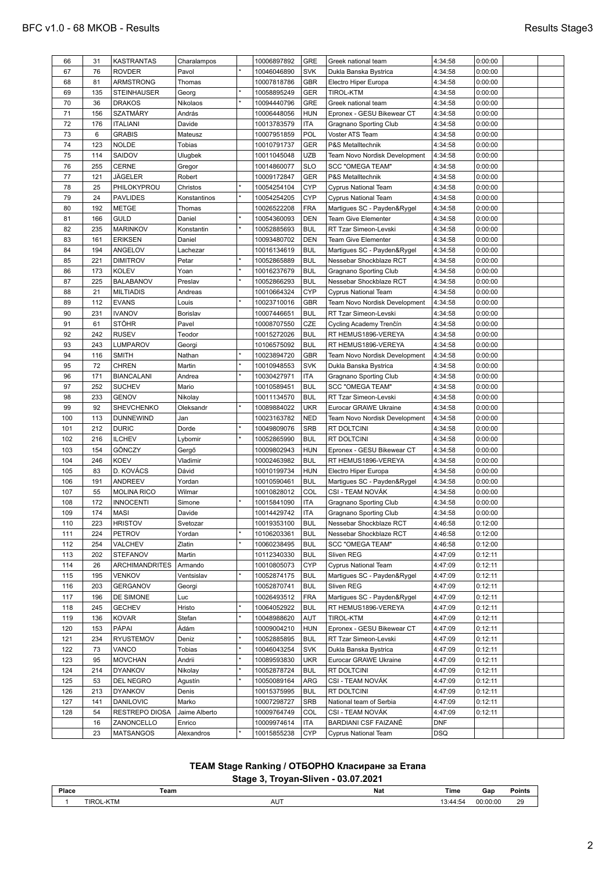| 66  | 31  | <b>KASTRANTAS</b>     | Charalampos   | 10006897892 | GRE        | Greek national team           | 4:34:58    | 0:00:00 |  |
|-----|-----|-----------------------|---------------|-------------|------------|-------------------------------|------------|---------|--|
| 67  | 76  | <b>ROVDER</b>         | Pavol         | 10046046890 | <b>SVK</b> | Dukla Banska Bystrica         | 4:34:58    | 0:00:00 |  |
| 68  | 81  | ARMSTRONG             | Thomas        | 10007818786 | GBR        | Electro Hiper Europa          | 4:34:58    | 0:00:00 |  |
| 69  | 135 | STEINHAUSER           | Georg         | 10058895249 | <b>GER</b> | <b>TIROL-KTM</b>              | 4:34:58    | 0:00:00 |  |
| 70  | 36  | <b>DRAKOS</b>         | Nikolaos      | 10094440796 | GRE        | Greek national team           | 4:34:58    | 0:00:00 |  |
| 71  | 156 | <b>SZATMÁRY</b>       | András        | 10006448056 | <b>HUN</b> | Epronex - GESU Bikewear CT    | 4:34:58    | 0:00:00 |  |
| 72  | 176 | <b>ITALIANI</b>       | Davide        | 10013783579 | ITA        | Gragnano Sporting Club        | 4:34:58    | 0:00:00 |  |
| 73  | 6   | <b>GRABIS</b>         | Mateusz       | 10007951859 | POL        | Voster ATS Team               | 4:34:58    | 0:00:00 |  |
|     |     | <b>NOLDE</b>          | Tobias        |             | <b>GER</b> |                               |            |         |  |
| 74  | 123 |                       |               | 10010791737 |            | P&S Metalltechnik             | 4:34:58    | 0:00:00 |  |
| 75  | 114 | SAIDOV                | Ulugbek       | 10011045048 | <b>UZB</b> | Team Novo Nordisk Development | 4:34:58    | 0:00:00 |  |
| 76  | 255 | <b>CERNE</b>          | Gregor        | 10014860077 | <b>SLO</b> | <b>SCC "OMEGA TEAM"</b>       | 4:34:58    | 0:00:00 |  |
| 77  | 121 | JÄGELER               | Robert        | 10009172847 | <b>GER</b> | P&S Metalltechnik             | 4:34:58    | 0:00:00 |  |
| 78  | 25  | PHILOKYPROU           | Christos      | 10054254104 | <b>CYP</b> | Cyprus National Team          | 4:34:58    | 0:00:00 |  |
| 79  | 24  | <b>PAVLIDES</b>       | Konstantinos  | 10054254205 | <b>CYP</b> | Cyprus National Team          | 4:34:58    | 0:00:00 |  |
| 80  | 192 | <b>METGE</b>          | Thomas        | 10026522208 | <b>FRA</b> | Martigues SC - Payden&Rygel   | 4:34:58    | 0:00:00 |  |
| 81  | 166 | <b>GULD</b>           | Daniel        | 10054360093 | <b>DEN</b> | Team Give Elementer           | 4:34:58    | 0:00:00 |  |
| 82  | 235 | <b>MARINKOV</b>       | Konstantin    | 10052885693 | <b>BUL</b> | RT Tzar Simeon-Levski         | 4:34:58    | 0:00:00 |  |
| 83  | 161 | <b>ERIKSEN</b>        | Daniel        | 10093480702 | <b>DEN</b> | Team Give Elementer           | 4:34:58    | 0:00:00 |  |
| 84  | 194 | ANGELOV               | Lachezar      | 10016134619 | <b>BUL</b> | Martigues SC - Payden&Rygel   | 4:34:58    | 0:00:00 |  |
| 85  | 221 | <b>DIMITROV</b>       | Petar         | 10052865889 | <b>BUL</b> | Nessebar Shockblaze RCT       | 4:34:58    | 0:00:00 |  |
| 86  | 173 | <b>KOLEV</b>          | Yoan          | 10016237679 | <b>BUL</b> | Gragnano Sporting Club        | 4:34:58    | 0:00:00 |  |
| 87  | 225 | <b>BALABANOV</b>      | Preslav       | 10052866293 | <b>BUL</b> | Nessebar Shockblaze RCT       | 4:34:58    | 0:00:00 |  |
|     |     |                       |               |             |            |                               |            |         |  |
| 88  | 21  | <b>MILTIADIS</b>      | Andreas       | 10010664324 | <b>CYP</b> | <b>Cyprus National Team</b>   | 4:34:58    | 0:00:00 |  |
| 89  | 112 | <b>EVANS</b>          | Louis         | 10023710016 | <b>GBR</b> | Team Novo Nordisk Development | 4:34:58    | 0:00:00 |  |
| 90  | 231 | <b>IVANOV</b>         | Borislav      | 10007446651 | <b>BUL</b> | RT Tzar Simeon-Levski         | 4:34:58    | 0:00:00 |  |
| 91  | 61  | <b>STÖHR</b>          | Pavel         | 10008707550 | CZE        | Cycling Academy Trenčín       | 4:34:58    | 0:00:00 |  |
| 92  | 242 | <b>RUSEV</b>          | Teodor        | 10015272026 | <b>BUL</b> | RT HEMUS1896-VEREYA           | 4:34:58    | 0:00:00 |  |
| 93  | 243 | LUMPAROV              | Georgi        | 10106575092 | <b>BUL</b> | RT HEMUS1896-VEREYA           | 4:34:58    | 0:00:00 |  |
| 94  | 116 | <b>SMITH</b>          | Nathan        | 10023894720 | GBR        | Team Novo Nordisk Development | 4:34:58    | 0:00:00 |  |
| 95  | 72  | <b>CHREN</b>          | Martin        | 10010948553 | <b>SVK</b> | Dukla Banska Bystrica         | 4:34:58    | 0:00:00 |  |
| 96  | 171 | <b>BIANCALANI</b>     | Andrea        | 10030427971 | <b>ITA</b> | Gragnano Sporting Club        | 4:34:58    | 0:00:00 |  |
| 97  | 252 | <b>SUCHEV</b>         | Mario         | 10010589451 | <b>BUL</b> | <b>SCC "OMEGA TEAM"</b>       | 4:34:58    | 0:00:00 |  |
| 98  | 233 | <b>GENOV</b>          | Nikolay       | 10011134570 | <b>BUL</b> | RT Tzar Simeon-Levski         | 4:34:58    | 0:00:00 |  |
| 99  | 92  | SHEVCHENKO            | Oleksandr     | 10089884022 | <b>UKR</b> | Eurocar GRAWE Ukraine         | 4:34:58    | 0:00:00 |  |
| 100 | 113 | <b>DUNNEWIND</b>      | Jan           | 10023163782 | <b>NED</b> | Team Novo Nordisk Development | 4:34:58    | 0:00:00 |  |
| 101 | 212 | <b>DURIC</b>          | Dorde         | 10049809076 | <b>SRB</b> | RT DOLTCINI                   | 4:34:58    | 0:00:00 |  |
|     | 216 |                       |               |             | <b>BUL</b> | RT DOLTCINI                   |            |         |  |
| 102 |     | <b>ILCHEV</b>         | Lybomir       | 10052865990 |            |                               | 4:34:58    | 0:00:00 |  |
| 103 | 154 | GÖNCZY                | Gergő         | 10009802943 | <b>HUN</b> | Epronex - GESU Bikewear CT    | 4:34:58    | 0:00:00 |  |
| 104 | 246 | <b>KOEV</b>           | Vladimir      | 10002463982 | <b>BUL</b> | RT HEMUS1896-VEREYA           | 4:34:58    | 0:00:00 |  |
| 105 | 83  | D. KOVÁCS             | Dávid         | 10010199734 | <b>HUN</b> | Electro Hiper Europa          | 4:34:58    | 0:00:00 |  |
| 106 | 191 | ANDREEV               | Yordan        | 10010590461 | <b>BUL</b> | Martigues SC - Payden&Rygel   | 4:34:58    | 0:00:00 |  |
| 107 | 55  | <b>MOLINA RICO</b>    | Wilmar        | 10010828012 | COL        | CSI - TEAM NOVÁK              | 4:34:58    | 0:00:00 |  |
| 108 | 172 | <b>INNOCENTI</b>      | Simone        | 10015841090 | ITA        | Gragnano Sporting Club        | 4:34:58    | 0:00:00 |  |
| 109 | 174 | <b>MASI</b>           | Davide        | 10014429742 | <b>ITA</b> | Gragnano Sporting Club        | 4:34:58    | 0:00:00 |  |
| 110 | 223 | <b>HRISTOV</b>        | Svetozar      | 10019353100 | <b>BUL</b> | Nessebar Shockblaze RCT       | 4:46:58    | 0:12:00 |  |
| 111 | 224 | PETROV                | Yordan        | 10106203361 | <b>BUL</b> | Nessebar Shockblaze RCT       | 4:46:58    | 0:12:00 |  |
| 112 | 254 | VALCHEV               | Zlatin        | 10060238495 | <b>BUL</b> | <b>SCC "OMEGA TEAM"</b>       | 4:46:58    | 0:12:00 |  |
| 113 | 202 | <b>STEFANOV</b>       | Martin        | 10112340330 | <b>BUL</b> | Sliven REG                    | 4:47:09    | 0:12:11 |  |
| 114 | 26  | <b>ARCHIMANDRITES</b> | Armando       | 10010805073 | <b>CYP</b> | <b>Cyprus National Team</b>   | 4:47:09    | 0:12:11 |  |
| 115 | 195 | <b>VENKOV</b>         | Ventsislav    | 10052874175 | <b>BUL</b> | Martigues SC - Payden&Rygel   | 4:47:09    | 0:12:11 |  |
| 116 | 203 | <b>GERGANOV</b>       | Georgi        | 10052870741 | <b>BUL</b> | Sliven REG                    | 4:47:09    | 0:12:11 |  |
| 117 | 196 | DE SIMONE             | Luc           | 10026493512 | <b>FRA</b> | Martigues SC - Payden&Rygel   | 4:47:09    | 0:12:11 |  |
|     | 245 | <b>GECHEV</b>         | Hristo        | 10064052922 | <b>BUL</b> | RT HEMUS1896-VEREYA           | 4:47:09    | 0:12:11 |  |
| 118 |     | <b>KOVAR</b>          |               |             |            |                               |            |         |  |
|     |     |                       | Stefan        | 10048988620 | AUT        | TIROL-KTM                     | 4:47:09    | 0:12:11 |  |
| 119 | 136 |                       |               |             |            |                               |            | 0:12:11 |  |
| 120 | 153 | PÁPAI                 | Ádám          | 10009004210 | <b>HUN</b> | Epronex - GESU Bikewear CT    | 4:47:09    |         |  |
| 121 | 234 | <b>RYUSTEMOV</b>      | Deniz         | 10052885895 | <b>BUL</b> | RT Tzar Simeon-Levski         | 4:47:09    | 0:12:11 |  |
| 122 | 73  | VANCO                 | Tobias        | 10046043254 | <b>SVK</b> | Dukla Banska Bystrica         | 4:47:09    | 0:12:11 |  |
| 123 | 95  | <b>MOVCHAN</b>        | Andrii        | 10089593830 | <b>UKR</b> | Eurocar GRAWE Ukraine         | 4:47:09    | 0:12:11 |  |
| 124 | 214 | <b>DYANKOV</b>        | Nikolay       | 10052878724 | <b>BUL</b> | RT DOLTCINI                   | 4:47:09    | 0:12:11 |  |
| 125 | 53  | DEL NEGRO             | Agustín       | 10050089164 | ARG        | CSI - TEAM NOVÁK              | 4:47:09    | 0:12:11 |  |
| 126 | 213 | <b>DYANKOV</b>        | Denis         | 10015375995 | <b>BUL</b> | RT DOLTCINI                   | 4:47:09    | 0:12:11 |  |
| 127 | 141 | <b>DANILOVIC</b>      | Marko         | 10007298727 | <b>SRB</b> | National team of Serbia       | 4:47:09    | 0:12:11 |  |
| 128 | 54  | RESTREPO DIOSA        | Jaime Alberto | 10009764749 | COL        | CSI - TEAM NOVÁK              | 4:47:09    | 0:12:11 |  |
|     | 16  | ZANONCELLO            | Enrico        | 10009974614 | ITA        | BARDIANI CSF FAIZANÈ          | <b>DNF</b> |         |  |

# **TEAM Stage Ranking / ОТБОРНО Класиране за Етапа**

**Stage 3, Troyan-Sliven - 03.07.2021**

| Place |      | Team | Nat<br>Time<br> | Gar      | Point. |
|-------|------|------|-----------------|----------|--------|
|       |      |      |                 |          |        |
|       | TIR  | .    | m               | n۵       | $\sim$ |
|       | l IV | AU   |                 | ``OO:O\. |        |
|       |      | ____ |                 | .        | $\sim$ |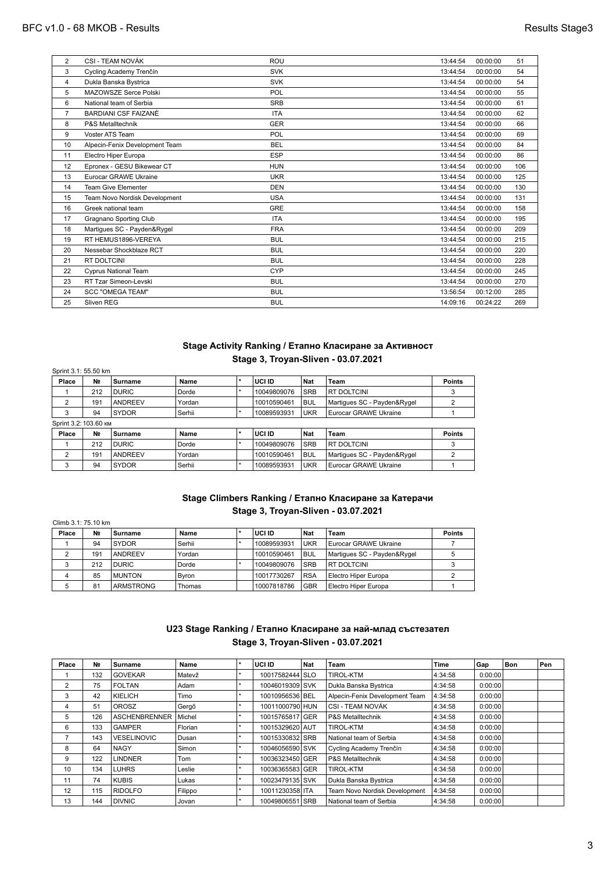| $\overline{2}$ | CSI - TEAM NOVÁK               | ROU        | 13:44:54 | 00:00:00 | 51  |
|----------------|--------------------------------|------------|----------|----------|-----|
| 3              | Cycling Academy Trenčín        | <b>SVK</b> | 13:44:54 | 00:00:00 | 54  |
| 4              | Dukla Banska Bystrica          | <b>SVK</b> | 13:44:54 | 00:00:00 | 54  |
| 5              | MAZOWSZE Serce Polski          | POL        | 13:44:54 | 00:00:00 | 55  |
| 6              | National team of Serbia        | <b>SRB</b> | 13:44:54 | 00:00:00 | 61  |
| $\overline{7}$ | <b>BARDIANI CSF FAIZANÈ</b>    | <b>ITA</b> | 13:44:54 | 00:00:00 | 62  |
| 8              | P&S Metalltechnik              | <b>GER</b> | 13:44:54 | 00:00:00 | 66  |
| 9              | Voster ATS Team                | POL        | 13:44:54 | 00:00:00 | 69  |
| 10             | Alpecin-Fenix Development Team | <b>BEL</b> | 13:44:54 | 00:00:00 | 84  |
| 11             | Electro Hiper Europa           | <b>ESP</b> | 13:44:54 | 00:00:00 | 86  |
| 12             | Epronex - GESU Bikewear CT     | <b>HUN</b> | 13:44:54 | 00:00:00 | 106 |
| 13             | Eurocar GRAWE Ukraine          | <b>UKR</b> | 13:44:54 | 00:00:00 | 125 |
| 14             | <b>Team Give Elementer</b>     | <b>DEN</b> | 13:44:54 | 00:00:00 | 130 |
| 15             | Team Novo Nordisk Development  | <b>USA</b> | 13:44:54 | 00:00:00 | 131 |
| 16             | Greek national team            | <b>GRE</b> | 13:44:54 | 00:00:00 | 158 |
| 17             | Gragnano Sporting Club         | <b>ITA</b> | 13:44:54 | 00:00:00 | 195 |
| 18             | Martiques SC - Payden&Rygel    | <b>FRA</b> | 13:44:54 | 00:00:00 | 209 |
| 19             | RT HEMUS1896-VEREYA            | <b>BUL</b> | 13:44:54 | 00:00:00 | 215 |
| 20             | Nessebar Shockblaze RCT        | <b>BUL</b> | 13:44:54 | 00:00:00 | 220 |
| 21             | RT DOLTCINI                    | <b>BUL</b> | 13:44:54 | 00:00:00 | 228 |
| 22             | <b>Cyprus National Team</b>    | CYP        | 13:44:54 | 00:00:00 | 245 |
| 23             | RT Tzar Simeon-Levski          | <b>BUL</b> | 13:44:54 | 00:00:00 | 270 |
| 24             | <b>SCC "OMEGA TEAM"</b>        | <b>BUL</b> | 13:56:54 | 00:12:00 | 285 |
| 25             | Sliven REG                     | <b>BUL</b> | 14:09:16 | 00:24:22 | 269 |
|                |                                |            |          |          |     |

# **Stage Activity Ranking / Етапно Класиране за Активност Stage 3, Troyan-Sliven - 03.07.2021**

| Sprint 3.1: 55.50 km  |                |                |        |  |             |            |                             |               |
|-----------------------|----------------|----------------|--------|--|-------------|------------|-----------------------------|---------------|
| Place                 | N <sub>2</sub> | Surname        | Name   |  | luci id     | <b>Nat</b> | Team                        | <b>Points</b> |
|                       | 212            | <b>DURIC</b>   | Dorde  |  | 10049809076 | <b>SRB</b> | <b>RT DOLTCINI</b>          |               |
| 2                     | 191            | <b>ANDREEV</b> | Yordan |  | 10010590461 | BUL        | Martiques SC - Payden&Rygel |               |
| 3                     | 94             | <b>SYDOR</b>   | Serhii |  | 10089593931 | <b>UKR</b> | Eurocar GRAWE Ukraine       |               |
| Sprint 3.2: 103.60 KM |                |                |        |  |             |            |                             |               |
| Place                 | N <sub>2</sub> | Surname        | Name   |  | I UCI ID    | <b>Nat</b> | Team                        | <b>Points</b> |
|                       | 212            | <b>DURIC</b>   | Dorde  |  | 10049809076 | <b>SRB</b> | <b>RT DOLTCINI</b>          | 3             |
| 2                     | 191            | <b>ANDREEV</b> | Yordan |  | 10010590461 | BUL        | Martiques SC - Payden&Rygel | 2             |
| 3                     | 94             | <b>SYDOR</b>   | Serhii |  | 10089593931 | <b>UKR</b> | Eurocar GRAWE Ukraine       |               |

# **Stage Climbers Ranking / Етапно Класиране за Катерачи Stage 3, Troyan-Sliven - 03.07.2021**

| Climb 3.1: 75.10 km |                |                 |        |  |             |            |                             |               |  |
|---------------------|----------------|-----------------|--------|--|-------------|------------|-----------------------------|---------------|--|
| Place               | N <sub>2</sub> | Surname         | Name   |  | I UCI ID    | Nat        | Team                        | <b>Points</b> |  |
|                     | 94             | <b>SYDOR</b>    | Serhii |  | 10089593931 | <b>UKR</b> | Eurocar GRAWE Ukraine       |               |  |
|                     | 191            | <b>IANDREEV</b> | Yordan |  | 10010590461 | BUL        | Martiques SC - Payden&Rygel |               |  |
|                     | 212            | <b>DURIC</b>    | Dorde  |  | 10049809076 | <b>SRB</b> | <b>RT DOLTCINI</b>          |               |  |
| 4                   | 85             | <b>MUNTON</b>   | Byron  |  | 10017730267 | <b>RSA</b> | Electro Hiper Europa        |               |  |
| 5                   | 81             | ARMSTRONG       | Thomas |  | 10007818786 | <b>GBR</b> | Electro Hiper Europa        |               |  |

# **U23 Stage Ranking / Етапно Класиране за най-млад състезател Stage 3, Troyan-Sliven - 03.07.2021**

| Place | N <sub>2</sub> | Surname              | Name    | ٠ | I UCI ID        | Nat | Team                           | Time    | Gap     | Bon | Pen |
|-------|----------------|----------------------|---------|---|-----------------|-----|--------------------------------|---------|---------|-----|-----|
|       | 132            | <b>GOVEKAR</b>       | Matevž  |   | 10017582444 SLO |     | <b>TIROL-KTM</b>               | 4:34:58 | 0:00:00 |     |     |
| 2     | 75             | <b>FOLTAN</b>        | Adam    | ٠ | 10046019309 SVK |     | Dukla Banska Bystrica          | 4:34:58 | 0:00:00 |     |     |
| 3     | 42             | KIELICH              | Timo    |   | 10010956536 BEL |     | Alpecin-Fenix Development Team | 4:34:58 | 0:00:00 |     |     |
| 4     | 51             | <b>OROSZ</b>         | Gergő   | ÷ | 10011000790 HUN |     | CSI - TEAM NOVÁK               | 4:34:58 | 0:00:00 |     |     |
| 5     | 126            | <b>ASCHENBRENNER</b> | Michel  |   | 10015765817 GER |     | P&S Metalltechnik              | 4:34:58 | 0:00:00 |     |     |
| 6     | 133            | <b>GAMPER</b>        | Florian | ٠ | 10015329620 AUT |     | <b>TIROL-KTM</b>               | 4:34:58 | 0:00:00 |     |     |
|       | 143            | <b>VESELINOVIC</b>   | Dusan   | ÷ | 10015330832 SRB |     | National team of Serbia        | 4:34:58 | 0:00:00 |     |     |
| 8     | 64             | <b>NAGY</b>          | Simon   | ٠ | 10046056590 SVK |     | Cycling Academy Trenčín        | 4:34:58 | 0:00:00 |     |     |
| 9     | 122            | <b>LINDNER</b>       | Tom     |   | 10036323450 GER |     | <b>P&amp;S Metalltechnik</b>   | 4:34:58 | 0:00:00 |     |     |
| 10    | 134            | <b>LUHRS</b>         | Leslie  | ÷ | 10036365583 GER |     | <b>TIROL-KTM</b>               | 4:34:58 | 0:00:00 |     |     |
| 11    | 74             | <b>KUBIS</b>         | Lukas   |   | 10023479135 SVK |     | Dukla Banska Bystrica          | 4:34:58 | 0:00:00 |     |     |
| 12    | 115            | RIDOLFO              | Filippo | ÷ | 10011230358 ITA |     | Team Novo Nordisk Development  | 4:34:58 | 0:00:00 |     |     |
| 13    | 144            | <b>DIVNIC</b>        | Jovan   | ÷ | 10049806551 SRB |     | National team of Serbia        | 4:34:58 | 0:00:00 |     |     |